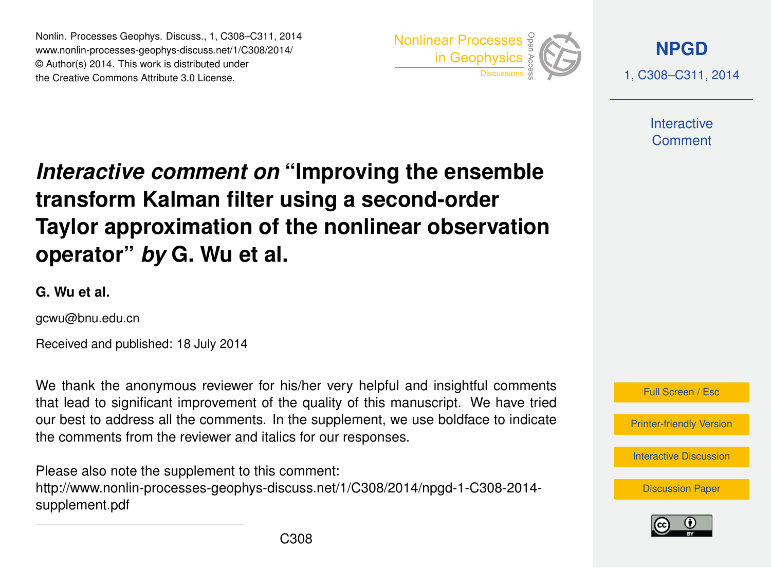Nonlin. Processes Geophys. Discuss., 1, C308–C311, 2014 www.nonlin-processes-geophys-discuss.net/1/C308/2014/ © Author(s) 2014. This work is distributed under Nonlin. Processes Geophys. Discuss., 1, C308–C311, 2014<br>
www.nonlin-processes-geophys-discuss.net/1/C308/2014/<br>
© Author(s) 2014. This work is distributed under<br>
the Creative Commons Attribute 3.0 License.



**[NPGD](http://www.nonlin-processes-geophys-discuss.net)**

1, C308–C311, 2014

**Interactive** Comment

## *Interactive comment on* **"Improving the ensemble transform Kalman filter using a second-order Taylor approximation of the nonlinear observation operator"** *by* **G. Wu et al.**

**G. Wu et al.**

gcwu@bnu.edu.cn

Received and published: 18 July 2014

We thank the anonymous reviewer for his/her very helpful and insightful comments that lead to significant improvement of the quality of this manuscript. We have tried our best to address all the comments. In the supplement, we use boldface to indicate the comments from the reviewer and italics for our responses.

Please also note the supplement to this comment: [http://www.nonlin-processes-geophys-discuss.net/1/C308/2014/npgd-1-C308-2014](http://www.nonlin-processes-geophys-discuss.net/1/C308/2014/npgd-1-C308-2014-supplement.pdf) [supplement.pdf](http://www.nonlin-processes-geophys-discuss.net/1/C308/2014/npgd-1-C308-2014-supplement.pdf)



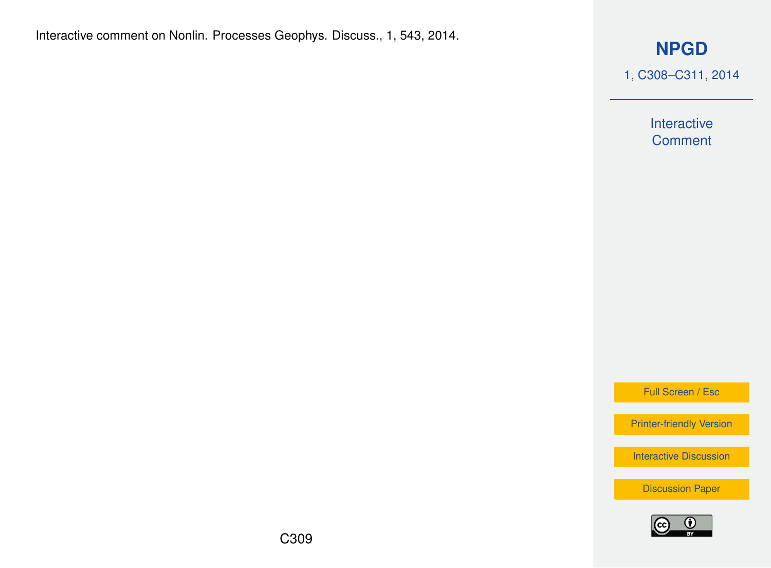## **[NPGD](http://www.nonlin-processes-geophys-discuss.net)**

1, C308–C311, 2014

Interactive **Comment** 

Full Screen / Esc

[Printer-friendly Version](http://www.nonlin-processes-geophys-discuss.net/1/C308/2014/npgd-1-C308-2014-print.pdf)

[Interactive Discussion](http://www.nonlin-processes-geophys-discuss.net/1/543/2014/npgd-1-543-2014-discussion.html)

[Discussion Paper](http://www.nonlin-processes-geophys-discuss.net/1/543/2014/npgd-1-543-2014.pdf)

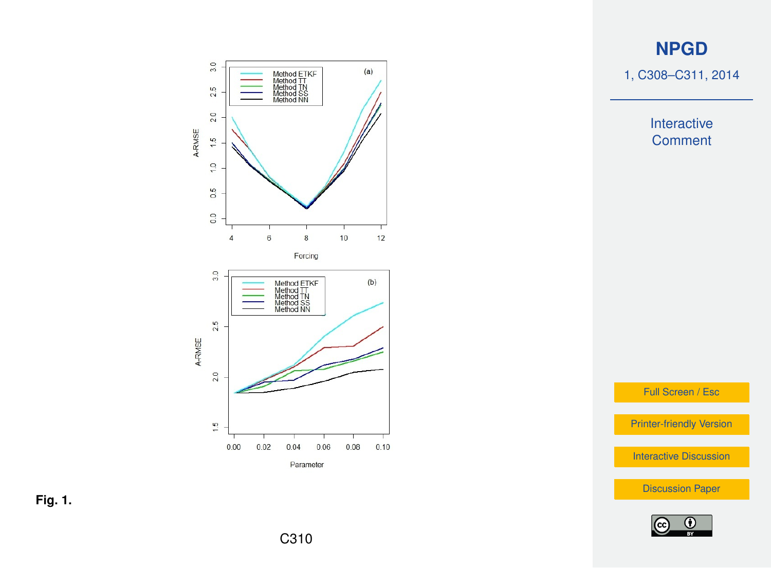## **[NPGD](http://www.nonlin-processes-geophys-discuss.net)**

1, C308–C311, 2014

Interactive **Comment** 

Full Screen / Esc

[Printer-friendly Version](http://www.nonlin-processes-geophys-discuss.net/1/C308/2014/npgd-1-C308-2014-print.pdf)

[Interactive Discussion](http://www.nonlin-processes-geophys-discuss.net/1/543/2014/npgd-1-543-2014-discussion.html)

[Discussion Paper](http://www.nonlin-processes-geophys-discuss.net/1/543/2014/npgd-1-543-2014.pdf)